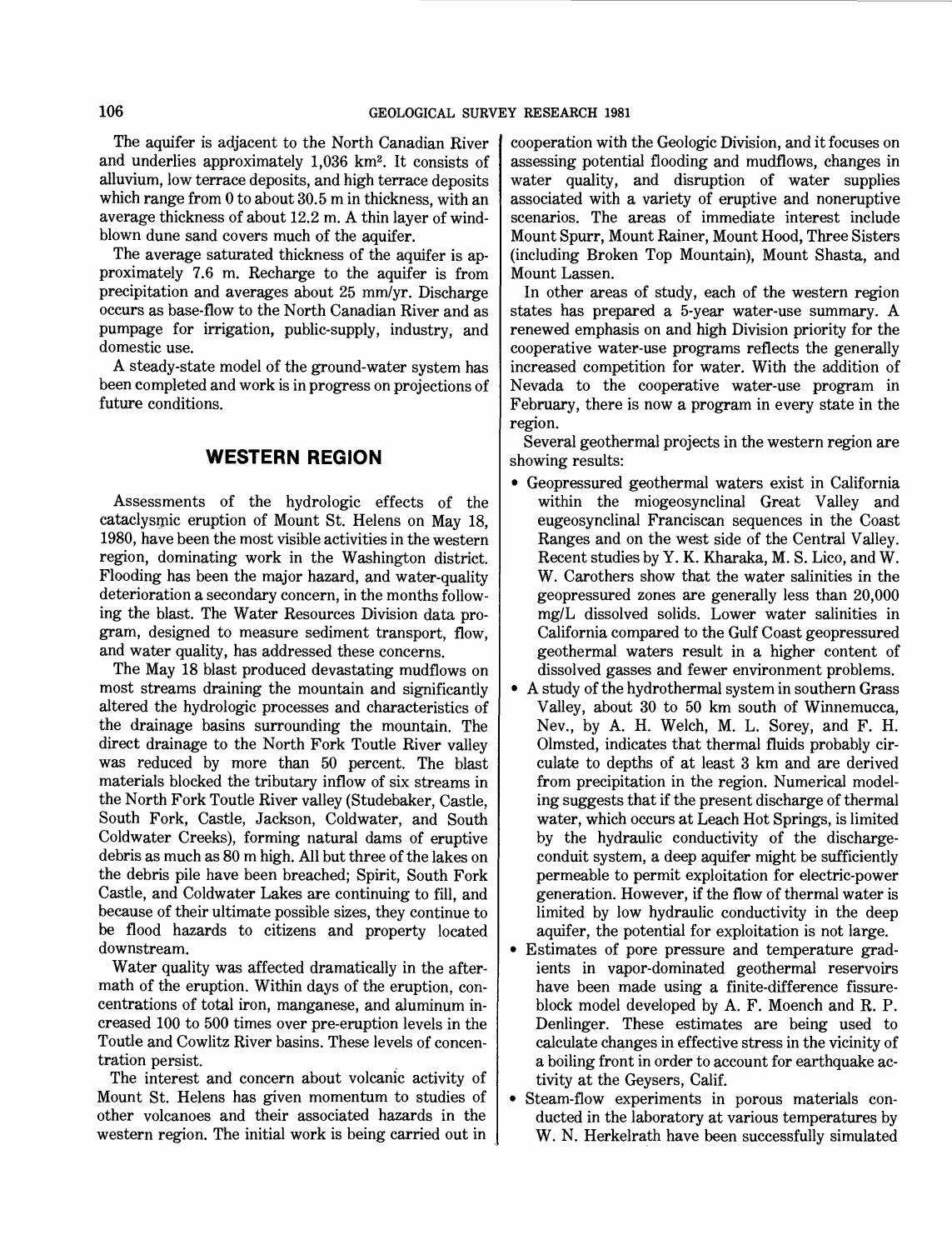The aquifer is adjacent to the North Canadian River and underlies approximately 1,036 km<sup>2</sup>. It consists of alluvium, low terrace deposits, and high terrace deposits which range from 0 to about 30.5 m in thickness, with an average thickness of about 12.2 m. A thin layer of windblown dune sand covers much of the aquifer.

The average saturated thickness of the aquifer is approximately 7.6 m. Recharge to the aquifer is from precipitation and averages about 25 mm/yr. Discharge occurs as base-flow to the North Canadian River and as pumpage for irrigation, public-supply, industry, and domestic use.

A steady-state model of the ground-water system has been completed and work is in progress on projections of future conditions.

# **WESTERN REGION**

Assessments of the hydrologic effects of the cataclysmic eruption of Mount St. Helens on May 18, 1980, have been the most visible activities in the western region, dominating work in the Washington district. Flooding has been the major hazard, and water-quality deterioration a secondary concern, in the months following the blast. The Water Resources Division data program, designed to measure sediment transport, flow, and water quality, has addressed these concerns.

The May 18 blast produced devastating mudflows on most streams draining the mountain and significantly altered the hydrologic processes and characteristics of the drainage basins surrounding the mountain. The direct drainage to the North Fork Toutle River valley was reduced by more than 50 percent. The blast materials blocked the tributary inflow of six streams in the North Fork Toutle River valley (Studebaker, Castle, South Fork, Castle, Jackson, Coldwater, and South Coldwater Creeks), forming natural dams of eruptive debris as much as 80 m high. All but three of the lakes on the debris pile have been breached; Spirit, South Fork Castle, and Coldwater Lakes are continuing to fill, and because of their ultimate possible sizes, they continue to be flood hazards to citizens and property located downstream.

Water quality was affected dramatically in the aftermath of the eruption. Within days of the eruption, concentrations of total iron, manganese, and aluminum increased 100 to 500 times over pre-eruption levels in the Toutle and Cowlitz River basins. These levels of concentration persist.

The interest and concern about volcanic activity of Mount St. Helens has given momentum to studies of other volcanoes and their associated hazards in the western region. The initial work is being carried out in cooperation with the Geologic Division, and it focuses on assessing potential flooding and mudflows, changes in water quality, and disruption of water supplies associated with a variety of eruptive and noneruptive scenarios. The areas of immediate interest include Mount Spurr, Mount Rainer, Mount Hood, Three Sisters (including Broken Top Mountain), Mount Shasta, and Mount Lassen.

In other areas of study, each of the western region states has prepared a 5-year water-use summary. A renewed emphasis on and high Division priority for the cooperative water-use programs reflects the generally increased competition for water. With the addition of Nevada to the cooperative water-use program in February, there is now a program in every state in the region.

Several geothermal projects in the western region are showing results:

- Geopressured geothermal waters exist in California within the miogeosynclinal Great Valley and eugeosynclinal Franciscan sequences in the Coast Ranges and on the west side of the Central Valley. Recent studies by Y. K. Kharaka, M. S. Lico, and W. W. Carothers show that the water salinities in the geopressured zones are generally less than 20,000 mg/L dissolved solids. Lower water salinities in California compared to the Gulf Coast geopressured geothermal waters result in a higher content of dissolved gasses and fewer environment problems.
- A study of the hydrothermal system in southern Grass Valley, about 30 to 50 km south of Winnemucca, Nev., by A. H. Welch, M. L. Sorey, and F. H. Olmsted, indicates that thermal fluids probably circulate to depths of at least 3 km and are derived from precipitation in the region. Numerical modeling suggests that if the present discharge of thermal water, which occurs at Leach Hot Springs, is limited by the hydraulic conductivity of the dischargeconduit system, a deep aquifer might be sufficiently permeable to permit exploitation for electric-power generation. However, if the flow of thermal water is limited by low hydraulic conductivity in the deep aquifer, the potential for exploitation is not large.
- Estimates of pore pressure and temperature gradients in vapor-dominated geothermal reservoirs have been made using a finite-difference fissureblock model developed by A. F. Moench and R. P. Denlinger. These estimates are being used to calculate changes in effective stress in the vicinity of a boiling front in order to account for earthquake activity at the Geysers, Calif.
- Steam-flow experiments in porous materials conducted in the laboratory at various temperatures by W. N. Herkelrath have been successfully simulated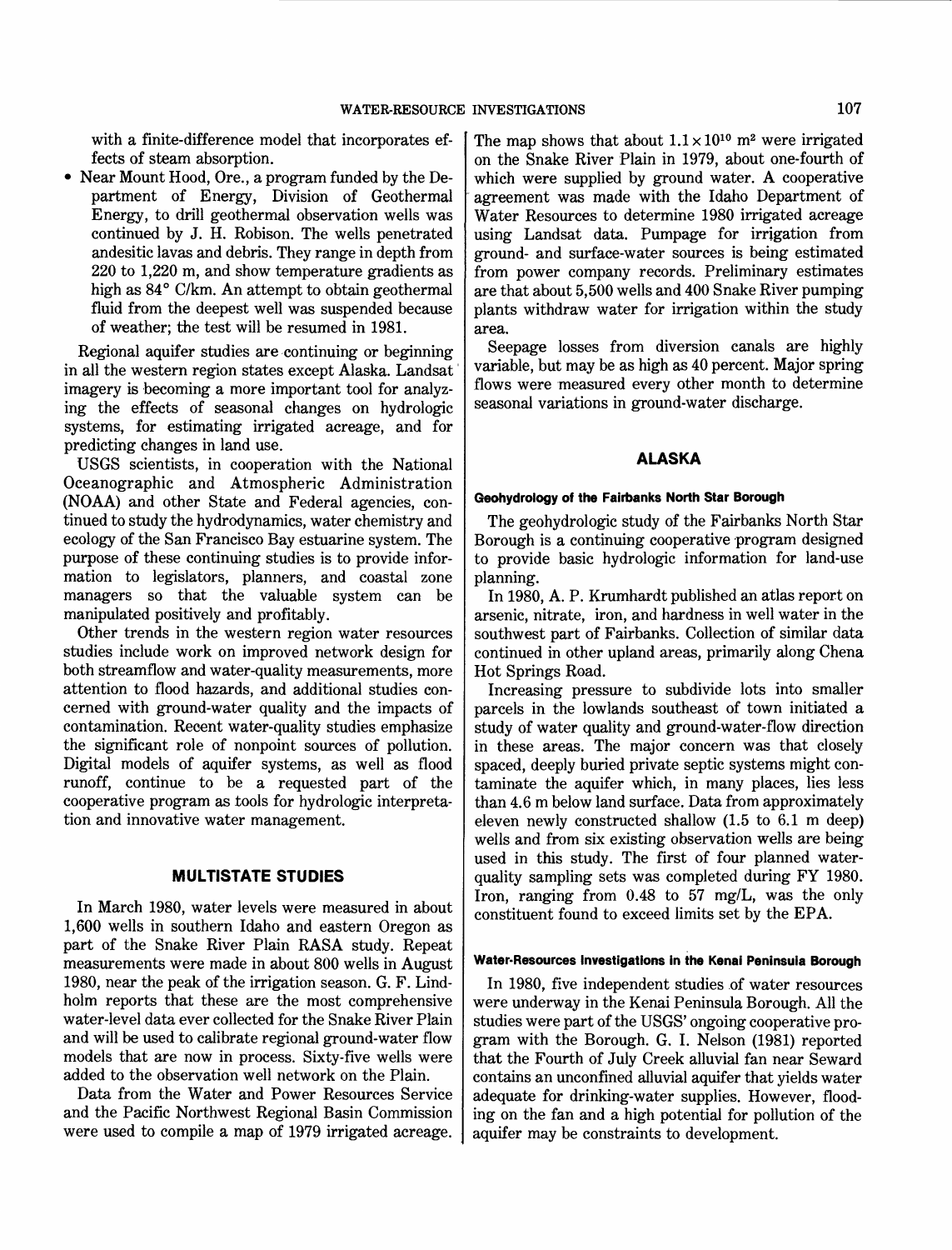with a finite-difference model that incorporates effects of steam absorption.

• Near Mount Hood, Ore., a program funded by the Department of Energy, Division of Geothermal Energy, to drill geothermal observation wells was continued by J. H. Robison. The wells penetrated andesitic lavas and debris. They range in depth from 220 to 1,220 m, and show temperature gradients as high as 84° C/km. An attempt to obtain geothermal fluid from the deepest well was suspended because of weather; the test will be resumed in 1981.

Regional aquifer studies are continuing or beginning in all the western region states except Alaska. Landsat' imagery is becoming a more important tool for analyzing the effects of seasonal changes on hydrologic systems, for estimating irrigated acreage, and for predicting changes in land use.

USGS scientists, in cooperation with the National Oceanographic and Atmospheric Administration (NOAA) and other State and Federal agencies, continued to study the hydrodynamics, water chemistry and ecology of the San Francisco Bay estuarine system. The purpose of these continuing studies is to provide information to legislators, planners, and coastal zone managers so that the valuable system can be manipulated positively and profitably.

Other trends in the western region water resources studies include work on improved network design for both streamflow and water-quality measurements, more attention to flood hazards, and additional studies concerned with ground-water quality and the impacts of contamination. Recent water-quality studies emphasize the significant role of nonpoint sources of pollution. Digital models of aquifer systems, as well as flood runoff, continue to be a requested part of the cooperative program as tools for hydrologic interpretation and innovative water management.

# **MULTISTATE STUDIES**

In March 1980, water levels were measured in about 1,600 wells in southern Idaho and eastern Oregon as part of the Snake River Plain RASA study. Repeat measurements were made in about 800 wells in August 1980, near the peak of the irrigation season. G. F. Lindholm reports that these are the most comprehensive water-level data ever collected for the Snake River Plain and will be used to calibrate regional ground-water flow models that are now in process. Sixty-five wells were added to the observation well network on the Plain.

Data from the Water and Power Resources Service and the Pacific Northwest Regional Basin Commission were used to compile a map of 1979 irrigated acreage. The map shows that about  $1.1 \times 10^{10}$  m<sup>2</sup> were irrigated on the Snake River Plain in 1979, about one-fourth of which were supplied by ground water. A cooperative agreement was made with the Idaho Department of Water Resources to determine 1980 irrigated acreage using Landsat data. Pumpage for irrigation from ground- and surface-water sources is being estimated from power company records. Preliminary estimates are that about 5,500 wells and 400 Snake River pumping plants withdraw water for irrigation within the study area.

Seepage losses from diversion canals are highly variable, but may be as high as 40 percent. Major spring flows were 'measured every other month to determine seasonal variations in ground-water discharge.

# **ALASKA**

## **Geohydrology of the Fairbanks North Star Borough**

The geohydrologic study of the Fairbanks North Star Borough is a continuing cooperative program designed to provide basic hydrologic information for land-use planning.

In 1980, A. P. Krumhardt published an atlas report on arsenic, nitrate, iron, and hardness in well water in the southwest part of Fairbanks. Collection of similar data continued in other upland areas, primarily along Chena Hot Springs Road.

Increasing pressure to subdivide lots into smaller parcels in the lowlands southeast of town initiated a study of water quality and ground-water-flow direction in these areas. The major concern was that closely spaced, deeply buried private septic systems might contaminate the aquifer which, in many places, lies less than 4.6 m below land surface. Data from approximately eleven newly constructed shallow (1.5 to 6.1 m deep) wells and from six existing observation wells are being used in this study. The first of four planned waterquality sampling sets was completed during FY 1980. Iron, ranging from 0.48 to 57 mg/L, was the only constituent found to exceed limits set by the EPA.

#### Water-Resources Investigations in the Kenai Peninsula Borough

In 1980, five independent studies of water resources were underway in the Kenai Peninsula Borough. All the studies were part of the USGS' ongoing cooperative program with the Borough. G. I. Nelson (1981) reported that the Fourth of July Creek alluvial fan near Seward contains an unconfined alluvial aquifer that yields water adequate for drinking-water supplies. However, flooding on the fan and a high potential for pollution of the aquifer may be constraints to development.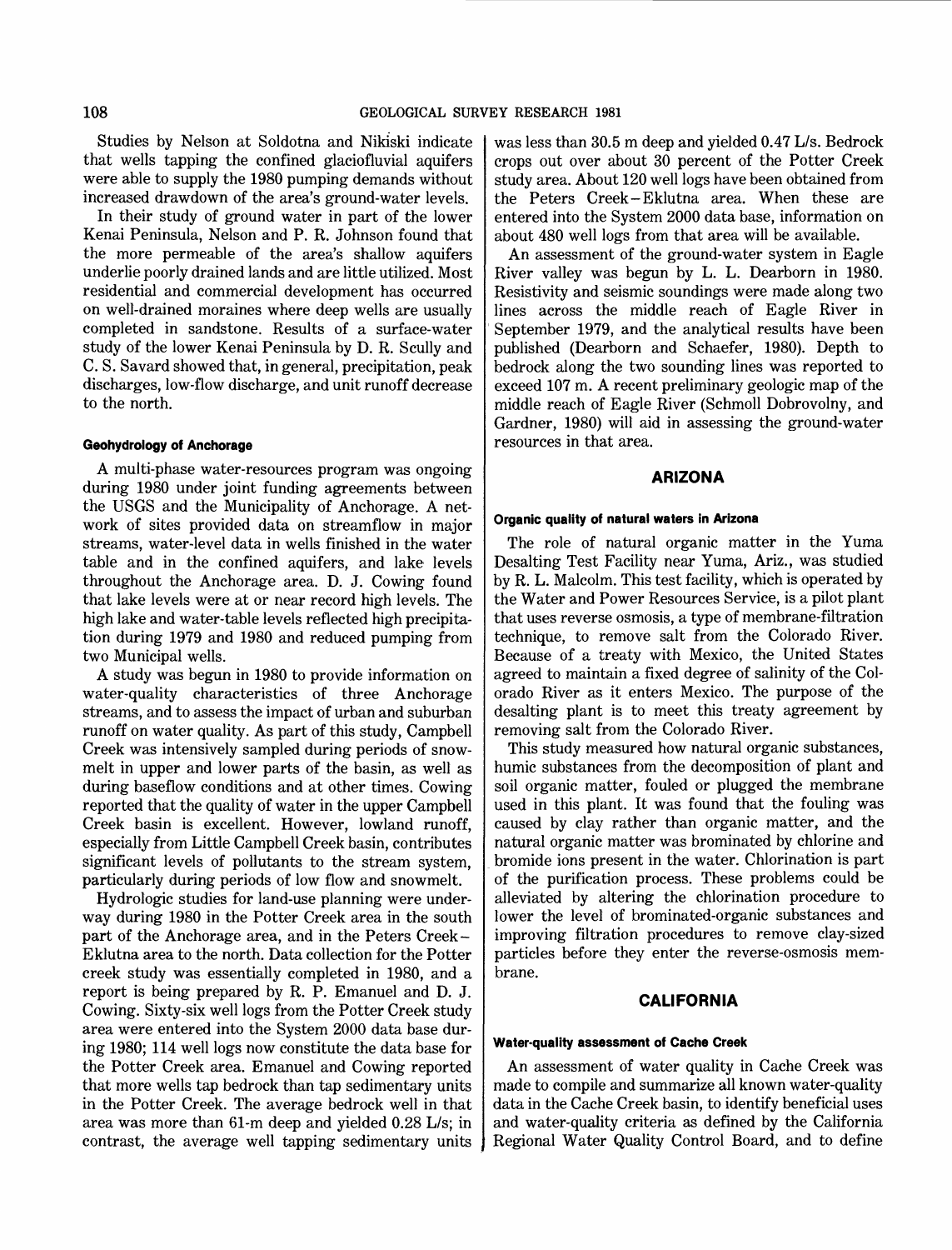Studies by Nelson at Soldotna and Nikiski indicate that wells tapping the confined glaciofluvial aquifers were able to supply the 1980 pumping demands without increased drawdown of the area's ground-water levels.

In their study of ground water in part of the lower Kenai Peninsula, Nelson and P. R. Johnson found that the more permeable of the area's shallow aquifers underlie poorly drained lands and are little utilized. Most residential and commercial development has occurred on well-drained moraines where deep wells are usually completed in sandstone. Results of a surface-water study of the lower Kenai Peninsula by D. R. Scully and C. S. Savard showed that, in general, precipitation, peak discharges, low-flow discharge, and unit runoff decrease to the north.

# **Geohydrology of Anchorage**

A mUlti-phase water-resources program was ongoing during 1980 under joint funding agreements between the USGS and the Municipality of Anchorage. A network of sites provided data on streamflow in major streams, water-level data in wells finished in the water table and in the confined aquifers, and lake levels throughout the Anchorage area. D. J. Cowing found that lake levels were at or near record high levels. The high lake and water-table levels reflected high precipitation during 1979 and 1980 and reduced pumping from two Municipal wells.

A study was begun in 1980 to provide information on water-quality characteristics of three Anchorage streams, and to assess the impact of urban and suburban runoff on water quality. As part of this study, Campbell Creek was intensively sampled during periods of snowmelt in upper and lower parts of the basin, as well as during baseflow conditions and at other times. Cowing reported that the quality of water in the upper Campbell Creek basin is excellent. However, lowland runoff, especially from Little Campbell Creek basin, contributes significant levels of pollutants to the stream system, particularly during periods of low flow and snowmelt.

Hydrologic studies for land-use planning were underway during 1980 in the Potter Creek area in the south part of the Anchorage area, and in the Peters Creek-Eklutna area to the north. Data collection for the Potter creek study was essentially completed in 1980, and a report is being prepared by R. P. Emanuel and D. J. Cowing. Sixty-six well logs from the Potter Creek study area were entered into the System 2000 data base during 1980; 114 well logs now constitute the data base for the Potter Creek area. Emanuel and Cowing reported that more wells tap bedrock than tap sedimentary units in the Potter Creek. The average bedrock well in that area was more than 61-m deep and yielded 0.28 L/s; in contrast, the average well tapping sedimentary units was less than 30.5 m deep and yielded 0.47 L/s. Bedrock crops out over about 30 percent of the Potter Creek study area. About 120 well logs have been obtained from the Peters Creek - Eklutna area. When these are entered into the System 2000 data base, information on about 480 well logs from that area will be available.

An assessment of the ground-water system in Eagle River valley was begun by L. L. Dearborn in 1980. Resistivity and seismic soundings were made along two lines across the middle reach of Eagle River in September 1979, and the analytical results have been published (Dearborn and Schaefer, 1980). Depth to bedrock along the two sounding lines was reported to exceed 107 m. A recent preliminary geologic map of the middle reach of Eagle River (Schmoll Dobrovolny, and Gardner, 1980) will aid in assessing the ground-water resources in that area.

# **ARIZONA**

#### **Organic quality of natural waters in Arizona**

The role of natural organic matter in the Yuma Desalting Test Facility near Yuma, Ariz., was studied by R. L. Malcolm. This test facility, which is operated by the Water and Power Resources Service, is a pilot plant that uses reverse osmosis, a type of membrane-filtration technique, to remove salt from the Colorado River. Because of a treaty with Mexico, the United States agreed to maintain a fixed degree of salinity of the Colorado River as it enters Mexico. The purpose of the desalting plant is to meet this treaty agreement by removing salt from the Colorado River.

This study measured how natural organic substances, humic substances from the decomposition of plant and soil organic matter, fouled or plugged the membrane used in this plant. It was found that the fouling was caused by clay rather than organic matter, and the natural organic matter was brominated by chlorine and bromide ions present in the water. Chlorination is part of the purification process. These problems could be alleviated by altering the chlorination procedure to lower the level of brominated-organic substances and improving filtration procedures to remove clay-sized particles before they enter the reverse-osmosis membrane.

# **CALIFORNIA**

#### **Water·quality assessment of Cache Creek**

An assessment of water quality in Cache Creek was made to compile and summarize all known water-quality data in the Cache Creek basin, to identify beneficial uses and water-quality criteria as defined by the California Regional Water Quality Control Board, and to define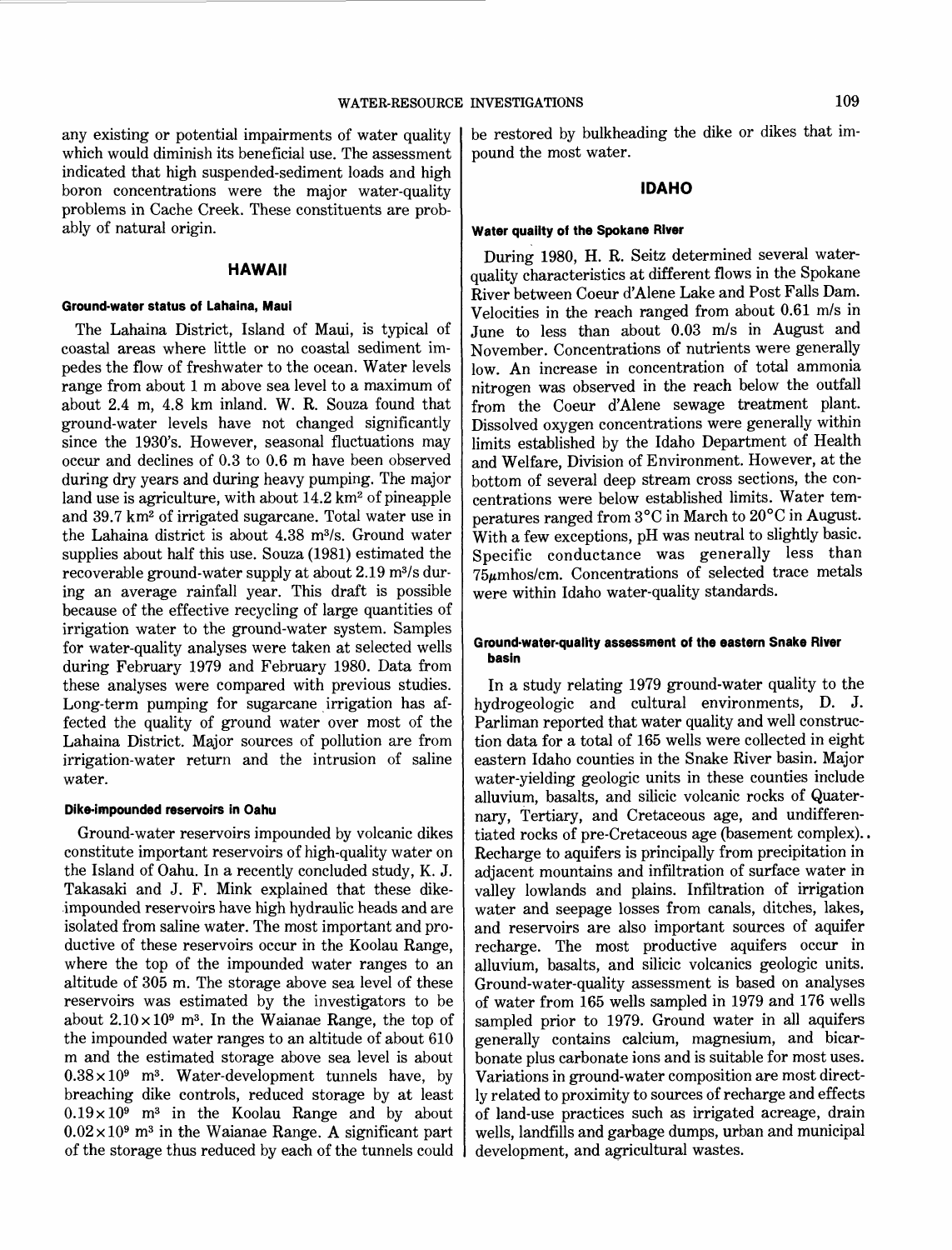any existing or potential impairments of water quality which would diminish its beneficial use. The assessment indicated that high suspended-sediment loads and high boron concentrations were the major water-quality problems in Cache Creek. These constituents are probably of natural origin.

# **HAWAII**

#### **Ground-water status of Lahaina, Maui**

The Lahaina District, Island of Maui, is typical of coastal areas where little or no coastal sediment impedes the flow of freshwater to the ocean. Water levels range from about 1 m above sea level to a maximum of about 2.4 m, 4.8 km inland. W. R. Souza found that ground-water levels have not changed significantly since the 1930's. However, seasonal fluctuations may occur and declines of 0.3 to 0.6 m have been observed during dry years and during heavy pumping. The major land use is agriculture, with about  $14.2$  km<sup>2</sup> of pineapple and 39.7 km2 of irrigated sugarcane. Total water use in the Lahaina district is about 4.38 m3/s. Ground water supplies about half this use. Souza (1981) estimated the recoverable ground-water supply at about 2.19 m3/s during an average rainfall year. This draft is possible because of the effective recycling of large quantities of irrigation water to the ground-water system. Samples for water-quality analyses were taken at selected wells during February 1979 and February 1980. Data from these analyses were compared with previous studies. Long-term pumping for sugarcane irrigation has affected the quality of ground water over most of the Lahaina District. Major sources of pollution are from irrigation-water return and the intrusion of saline water.

#### **Dike-impounded reservoirs in Oahu**

Ground-water reservoirs impounded by volcanic dikes constitute important reservoirs of high-quality water on the Island of Oahu. In a recently concluded study, K. J. Takasaki and J. F. Mink explained that these dike- .impounded reservoirs have high hydraulic heads and are isolated from saline water. The most important and productive of these reservoirs occur in the Koolau Range, where the top of the impounded water ranges to an altitude of 305 m. The storage above sea level of these reservoirs was estimated by the investigators to be about  $2.10 \times 10^9$  m<sup>3</sup>. In the Waianae Range, the top of the impounded water ranges to an altitude of about 610 m and the estimated storage above sea level is about  $0.38 \times 10^9$  m<sup>3</sup>. Water-development tunnels have, by breaching dike controls, reduced storage by at least  $0.19 \times 10^9$  m<sup>3</sup> in the Koolau Range and by about  $0.02 \times 10^9$  m<sup>3</sup> in the Waianae Range. A significant part of the storage thus reduced by each of the tunnels could be restored by bulkheading the dike or dikes that impound the most water.

# **IDAHO**

#### **Water quailty of the Spokane River**

During 1980, H. R. Seitz determined several waterquality characteristics at different flows in the Spokane River between Coeur d'Alene Lake and Post Falls Dam. Velocities in the reach ranged from about 0.61 m/s in June to less than about 0.03 m/s in August and November. Concentrations of nutrients were generally low. An increase in concentration of total ammonia nitrogen was observed in the reach below the outfall from the Coeur d'Alene sewage treatment plant. Dissolved oxygen concentrations were generally within limits established by the Idaho Department of Health and Welfare, Division of Environment. However, at the bottom of several deep stream cross sections, the concentrations were below established limits. Water temperatures ranged from 3°C in March to 20°C in August. With a few exceptions, pH was neutral to slightly basic. Specific conductance was generally less than 75p.mhos/cm. Concentrations of selected trace metals were within Idaho water-quality standards.

#### **Ground-water-quality assessment of the eastern Snake River basin**

In a study relating 1979 ground-water quality to the hydrogeologic and cultural environments, D. J. Parliman reported that water quality and well construction data for a total of 165 wells were collected in eight eastern Idaho counties in the Snake River basin. Major water-yielding geologic units in these counties include alluvium, basalts, and silicic volcanic rocks of Quaternary, Tertiary, and Cretaceous age, and undifferentiated rocks of pre-Cretaceous age (basement complex) .. Recharge to aquifers is principally from precipitation in adjacent mountains and infiltration of surface water in valley lowlands and plains. Infiltration of irrigation water and seepage losses from canals, ditches, lakes, and reservoirs are also important sources of aquifer recharge. The most productive aquifers occur in alluvium, basalts, and silicic volcanics geologic units. Ground-water-quality assessment is based on analyses of water from 165 wells sampled in 1979 and 176 wells sampled prior to 1979. Ground water in all aquifers generally contains calcium, magnesium, and bicarbonate plus carbonate ions and is suitable for most uses. Variations in ground-water composition are most directly related to proximity to sources of recharge and effects of land-use practices such as irrigated acreage, drain wells, landfills and garbage dumps, urban and municipal development, and agricultural wastes.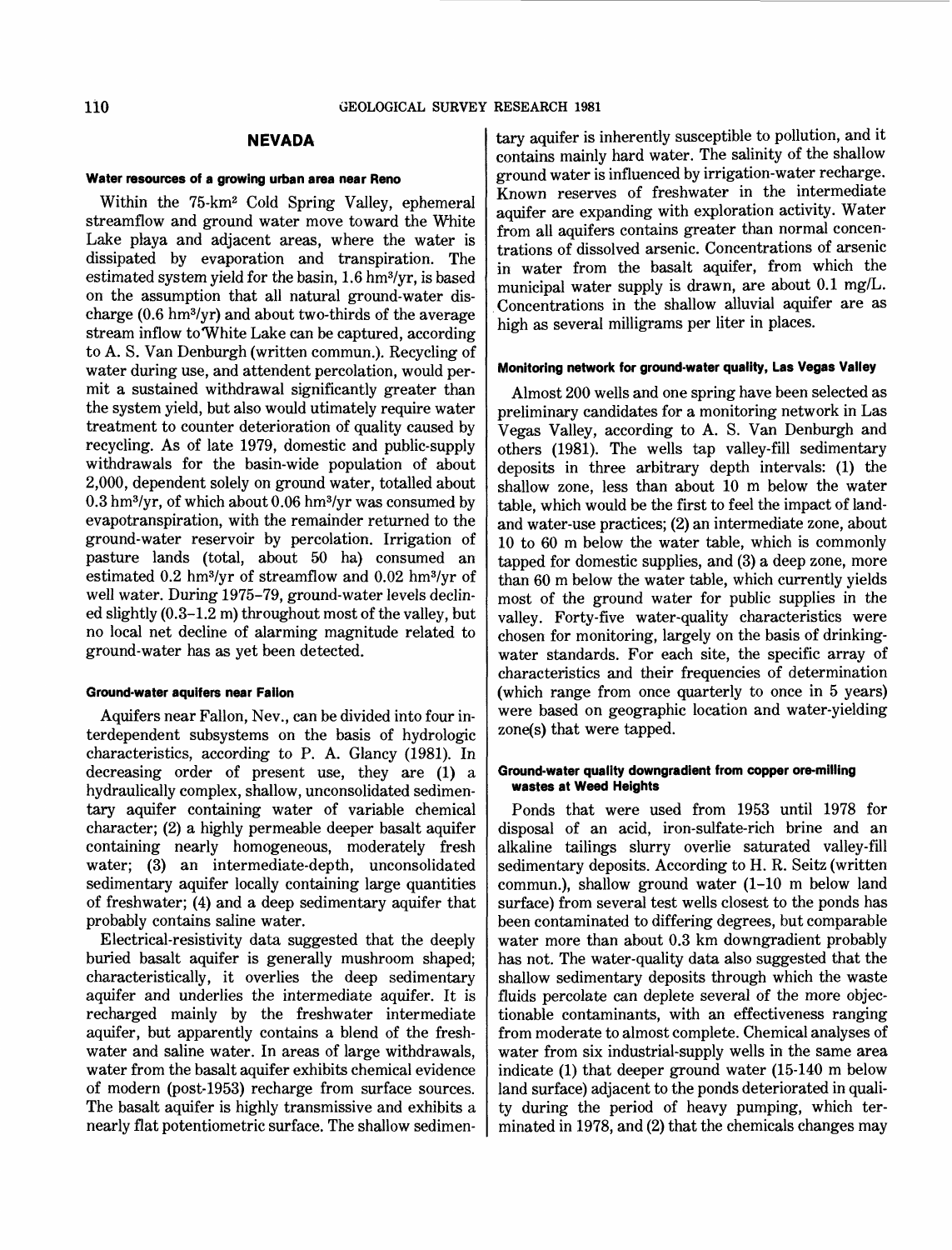# **NEVADA**

#### **Water resources of a growing urban area near Reno**

Within the 75-km2 Cold Spring Valley, ephemeral streamflow and ground water move toward the White Lake playa and adjacent areas, where the water is dissipated by evaporation and transpiration. The estimated system yield for the basin, 1.6 hm3/yr, is based on the assumption that all natural ground-water discharge (0.6 hm3/yr) and about two-thirds of the average stream inflow to White Lake can be captured, according to A. S. Van Denburgh (written commun.). Recycling of water during use, and attendent percolation, would permit a sustained withdrawal significantly greater than the system yield, but also would utimately require water treatment to counter deterioration of quality caused by recycling. As of late 1979, domestic and public-supply withdrawals for the basin-wide population of about 2,000, dependent solely on ground water, totalled about  $0.3$  hm<sup>3</sup>/yr, of which about  $0.06$  hm<sup>3</sup>/yr was consumed by evapotranspiration, with the remainder returned to the ground-water reservoir by percolation. Irrigation of pasture lands (total, about 50 ha) consumed an estimated 0.2 hm3/yr of streamflow and 0.02 hm3/yr of well water. During 1975-79, ground-water levels declined slightly (0.3-1.2 m) throughout most of the valley, but no local net decline of alarming magnitude related to ground-water has as yet been detected.

#### **Ground-water aquifers near Fallon**

Aquifers near Fallon, Nev., can be divided into four interdependent subsystems on the basis of hydrologic characteristics, according to P. A. Glancy (1981). In decreasing order of present use, they are (1) a hydraulically complex, shallow, unconsolidated sedimentary aquifer containing water of variable chemical character; (2) a highly permeable deeper basalt aquifer containing nearly homogeneous, moderately fresh water; (3) an intermediate-depth, unconsolidated sedimentary aquifer locally containing large quantities of freshwater; (4) and a deep sedimentary aquifer that probably contains saline water.

Electrical-resistivity data suggested that the deeply buried basalt aquifer is generally mushroom shaped; characteristically, it overlies the deep sedimentary aquifer and underlies the intermediate aquifer. It is recharged mainly by the freshwater intermediate aquifer, but apparently contains a blend of the freshwater and saline water. In areas of large withdrawals, water from the basalt aquifer exhibits chemical evidence of modern (post-1953) recharge from surface sources. The basalt aquifer is highly transmissive and exhibits a nearly flat potentiometric surface. The shallow sedimentary aquifer is inherently susceptible to pollution, and it contains mainly hard water. The salinity of the shallow ground water is influenced by irrigation-water recharge. Known reserves of freshwater in the intermediate aquifer are expanding with exploration activity. Water from all aquifers contains greater than normal concentrations of dissolved arsenic. Concentrations of arsenic in water from the basalt aquifer, from which the municipal water supply is drawn, are about 0.1 mg/L. . Concentrations in the shallow alluvial aquifer are as high as several milligrams per liter in places.

### **Monitoring network for ground-water quality, Las Vegas Valley**

Almost 200 wells and one spring have been selected as preliminary candidates for a monitoring network in Las Vegas Valley, according to A. S. Van Denburgh and others (1981). The wells tap valley-fill sedimentary deposits in three arbitrary depth intervals: (1) the shallow zone, less than about 10 m below the water table, which would be the first to feel the impact of landand water-use practices; (2) an intermediate zone, about 10 to 60 m below the water table, which is commonly tapped for domestic supplies, and (3) a deep zone, more than 60 m below the water table, which currently yields most of the ground water for public supplies in the valley. Forty-five water-quality characteristics were chosen for monitoring, largely on the basis of drinkingwater standards. For each site, the specific array of characteristics and their frequencies of determination (which range from once quarterly to once in 5 years) were based on geographic location and water-yielding zone(s) that were tapped.

#### **Ground-water quality downgradient from copper ore-milling wastes at Weed Heights**

Ponds that were used from 1953 until 1978 for disposal of an acid, iron-sulfate-rich brine and an alkaline tailings slurry overlie saturated valley-fill sedimentary deposits. According to H. R. Seitz (written commun.), shallow ground water (1-10 m below land surface) from several test wells closest to the ponds has been contaminated to differing degrees, but comparable water more than about 0.3 km downgradient probably has not. The water-quality data also suggested that the shallow sedimentary deposits through which the waste fluids percolate can deplete several of the more objectionable contaminants, with an effectiveness ranging from moderate to almost complete. Chemical analyses of water from six industrial-supply wells in the same area indicate (1) that deeper ground water (15-140 m below land surface) adjacent to the ponds deteriorated in quality during the period of heavy pumping, which terminated in 1978, and (2) that the chemicals changes may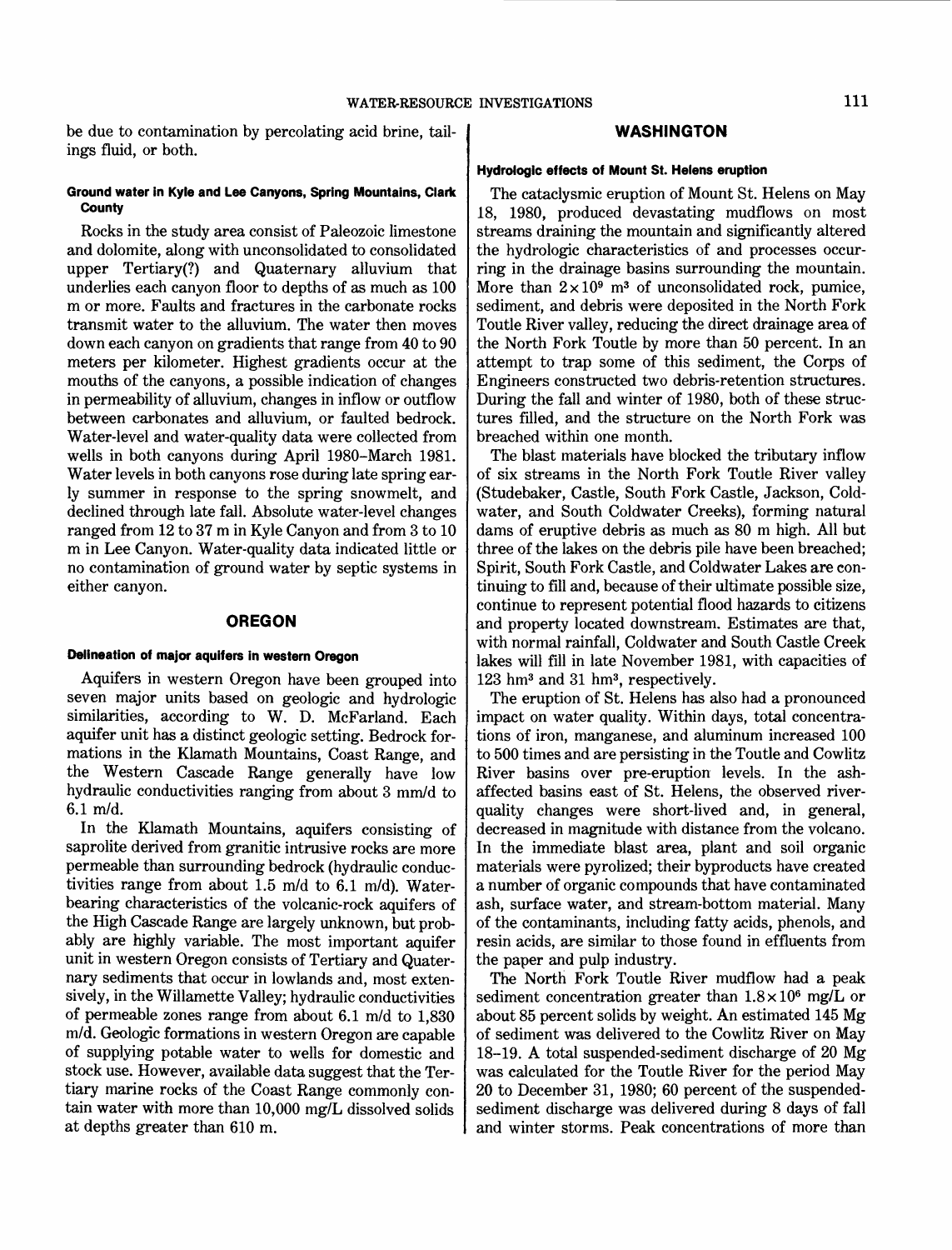be due to contamination by percolating acid brine, tail- **WASHINGTON** ings fluid, or both.

# **Ground water in Kyle and Lee Canyons, Spring Mountains, Clark County**

Rocks in the study area consist of Paleozoic limestone and dolomite, along with unconsolidated to consolidated upper Tertiary(?) and Quaternary alluvium that underlies each canyon floor to depths of as much as 100 m or more. Faults and fractures in the carbonate rocks transmit water to the alluvium. The water then moves down each canyon on gradients that range from 40 to 90 meters per kilometer. Highest gradients occur at the mouths of the canyons, a possible indication of changes in permeability of alluvium, changes in inflow or outflow between carbonates and alluvium, or faulted bedrock. Water-level and water-quality data were collected from wells in both canyons during April 1980-March 1981. Water levels in both canyons rose during late spring early summer in response to the spring snowmelt, and declined through late fall. Absolute water-level changes ranged from 12 to 37 m in Kyle Canyon and from 3 to 10 m in Lee Canyon. Water-quality data indicated little or no contamination of ground water by septic systems in either canyon.

#### **OREGON**

### **Delineation of major aquifers in western Oregon**

Aquifers in western Oregon have been grouped into seven major units based on geologic and hydrologic similarities, according to W. D. McFarland. Each aquifer unit has a distinct geologic setting. Bedrock formations in the Klamath Mountains, Coast Range, and the Western Cascade Range generally have low hydraulic conductivities ranging from about 3 mm/d to  $6.1$  m/d.

In the Klamath Mountains, aquifers consisting of saprolite derived from granitic intrusive rocks are more permeable than surrounding bedrock (hydraulic conductivities range from about 1.5 m/d to 6.1 m/d). Waterbearing characteristics of the volcanic-rock aquifers of the High Cascade Range are largely unknown, but probably are highly variable. The most important aquifer unit in western Oregon consists of Tertiary and Quaternary sediments that occur in lowlands and, most extensively, in the Willamette Valley; hydraulic conductivities of permeable zones range from about  $6.1 \text{ m/d}$  to  $1.830$ mid. Geologic formations in western Oregon are capable of supplying potable water to wells for domestic and stock use. However, available data suggest that the Tertiary marine rocks of the Coast Range commonly contain water with more than 10,000 *mg/L* dissolved solids at depths greater than 610 m.

#### **Hydrologic effects of Mount St. Helens eruption**

The cataclysmic eruption of Mount St. Helens on May 18, 1980, produced devastating mudflows on most streams draining the mountain and significantly altered the hydrologic characteristics of and processes occurring in the drainage basins surrounding the mountain. More than  $2 \times 10^9$  m<sup>3</sup> of unconsolidated rock, pumice, sediment, and debris were deposited in the North Fork Toutle River valley, reducing the direct drainage area of the North Fork Toutle by more than 50 percent. In an attempt to trap some of this sediment, the Corps of Engineers constructed two debris-retention structures. During the fall and winter of 1980, both of these structures filled, and the structure on the North Fork was breached within one month.

The blast materials have blocked the tributary inflow of six streams in the North Fork Toutle River valley (Studebaker, Castle, South Fork Castle, Jackson, Coldwater, and South Coldwater Creeks), forming natural dams of eruptive debris as much as 80 m high. All but three of the lakes on the debris pile have been breached; Spirit, South Fork Castle, and Coldwater Lakes are continuing to fill and, because of their ultimate possible size, continue to represent potential flood hazards to citizens and property located downstream. Estimates are that, with normal rainfall, Coldwater and South Castle Creek lakes will fill in late November 1981, with capacities of 123 hm3 and 31 hm3, respectively.

The eruption of St. Helens has also had a pronounced impact on water quality. Within days, total concentrations of iron, manganese, and aluminum increased 100 to 500 times and are persisting in the Toutle and Cowlitz River basins over pre-eruption levels. In the ashaffected basins east of St. Helens, the observed riverquality changes were short-lived and, in general, decreased in magnitude with distance from the volcano. In the immediate blast area, plant and soil organic materials were pyrolized; their byproducts have created a number of organic compounds that have contaminated ash, surface water, and stream-bottom material. Many of the contaminants, including fatty acids, phenols, and resin acids, are similar to those found in effluents from the paper and pulp industry.

The North Fork Toutle River mudflow had a peak sediment concentration greater than  $1.8 \times 10^6$  mg/L or about 85 percent solids by weight. An estimated 145 Mg of sediment was delivered to the Cowlitz River on May 18-19. A total suspended-sediment discharge of 20 Mg was calculated for the Toutle River for the period May 20 to December 31, 1980; 60 percent of the suspendedsediment discharge was delivered during 8 days of fall and winter storms. Peak concentrations of more than